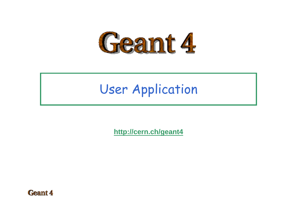

### User Application

**<http://cern.ch/geant4>**

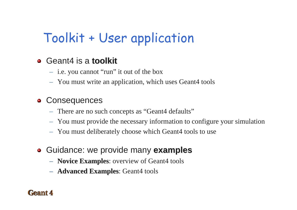## Toolkit + User application

### Geant4 is a **toolkit toolkit**

- i.e. you cannot "run" it out of the box
- You must write an application, which uses Geant4 tools

#### **Consequences**  $\bullet$

- There are no such concepts as "Geant4 defaults"
- You must provide the necessary information to configure your simulation
- You must deliberately choose which Geant4 tools to use
- Guidance: we provide many **examples examples**
	- **Novice Examples**: overview of Geant4 tools
	- **Advanced Examples**: Geant4 tools

#### pant 4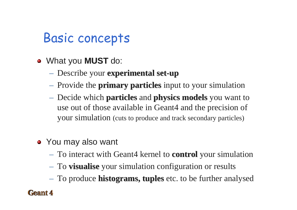### Basic concepts

- What you **MUST** do:
	- Describe your **experimental set experimental set -up**
	- Provide the **primary particles primary particles** input to your simulation
	- Decide which **particles particles** and **physics models physics models** you want to use out of those available in Geant4 and the precision of your simulation (cuts to produce and track secondary particles)
- You may also want
	- $-$  To interact with Geant4 kernel to **control** your simulation
	- $-$  To **visualise** your simulation configuration or results
	- $-$  To produce **histograms, tuples** etc. to be further analysed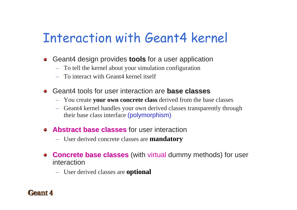### Interaction with Geant4 kernel

- Geant4 design provides **tools** for a user application  $\bullet$ 
	- To tell the kernel about your simulation configuration
	- To interact with Geant4 kernel itself
- Geant4 tools for user interaction are **base classes base classes**
	- You create **your own concrete class your own concrete class** derived from the base classes
	- – Geant4 kernel handles your own derived classes transparently through their base class interface (polymorphism)
- **Abstract base classes** for user interaction
	- User derived concrete classes are **mandatory**
- **Concrete base classes** (with virtual dummy methods) for user  $\blacksquare$ interaction
	- User derived classes are **optional optional**

#### l feant /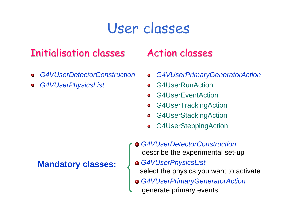### User classes

### Initialisation classes

- *G4VUserDetectorConstruction* $\blacksquare$
- *G4VUserPhysicsList*

#### **Mandatory classes:**

### Action classes

- *G4VUserPrimaryGeneratorAction*  $\blacksquare$
- G4UserRunAction $\bullet$
- G4UserEventAction $\bullet$
- G4UserTrackingAction  $\bullet$
- G4UserStackingAction  $\alpha$
- G4UserSteppingAction  $\blacksquare$
- *G4VUserDetectorConstruction* describe the experimental set-up
- *G4VUserPhysicsList* select the physics you want to activate
- *G4VUserPrimaryGeneratorAction* generate primary events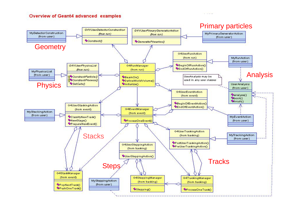#### Overview of Geant4 advanced examples

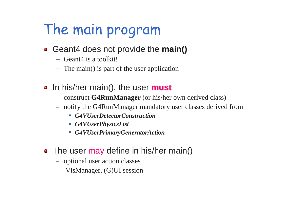# The main program

- Geant4 does not provide the **main()**
	- Geant4 is a toolkit!
	- The main() is part of the user application
- In his/her main(), the user **must** 
	- construct **G4RunManager G4RunManager** (or his/her own derived class)
	- notify the G4RunManager mandatory user classes derived from
		- *G4VUserDetectorConstruction*
		- *G4VUserPhysicsList*
		- *G4VUserPrimaryGeneratorAction*
- The user may define in his/her main()
	- optional user action classes
	- VisManager, (G)UI session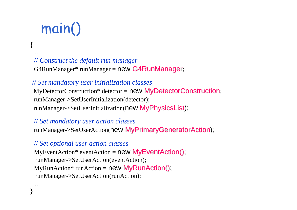# main()

{

…

…

}

#### // *Construct the default run manager*

 $G4RunManager* runManager = new **G4RunManager**;$ 

#### // *Set mandatory user initialization classes*

 $MyDetectorConstruction*$  detector = new  $MyDetectorConstruction;$ runManager->SetUserInitialization(detector);  $runManager \rightarrow SetUserInitialization(new MyPhysicsList)$ ;

#### // *Set mandatory user action classes*

runManager->SetUserAction(new MyPrimaryGeneratorAction);

#### // *Set optional user action classes*

 $MyEventAction*$  eventAction = new  $MyEventAction()$ ; runManager->SetUserAction(eventAction); MyRunAction\* runAction = new  $MyRunAction()$ ; runManager->SetUserAction(runAction);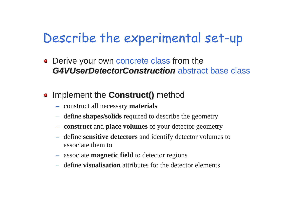### Describe the experimental set-up

• Derive your own concrete class from the *G4VUserDetectorConstruction G4VUserDetectorConstruction* abstract base class

### • Implement the **Construct()** method

- construct all necessary **materials**
- define **shapes/solids** required to describe the geometry
- **construct** and **place volumes** of your detector geometry
- define **sensitive detectors** and identify detector volumes to associate them to
- associate **magnetic field** to detector regions
- define **visualisation** attributes for the detector elements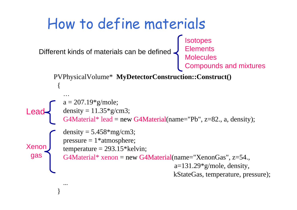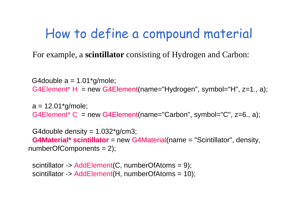### How to define a compound material

For example, a **scintillator** consisting of Hydrogen and Carbon:

G4double  $a = 1.01$ <sup>\*</sup>g/mole; G4Element\* H = new G4Element(name="Hydrogen", symbol="H", z=1., a);

 $a = 12.01*$ g/mole; G4Element\* C = new G4Element(name="Carbon", symbol="C", z=6., a);

G4double density  $= 1.032$ <sup>\*</sup>g/cm3; **G4Material\* scintillator** = new G4Material(name = "Scintillator", density, numberOfComponents = 2);

scintillator -> AddElement(C, numberOfAtoms = 9); scintillator -> AddElement(H, numberOfAtoms = 10);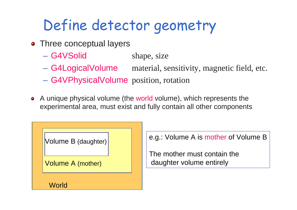# Define detector geometry

- Three conceptual layers
	- G4VSolid shape, size
	- G4LogicalVolume material, sensitivity, magnetic field, etc.
	- G4VPhysicalVolume position, rotation
- A unique physical volume (the world volume), which represents the  $\bullet$ experimental area, must exist and fully contain all other components



e.g.: Volume A is mother of Volume B

The mother must contain thedaughter volume entirely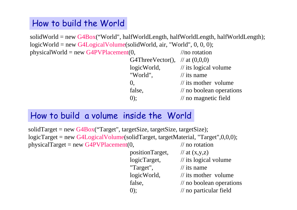#### How to build the World

solidWorld = new  $G4Box$ ", halfWorldLength, halfWorldLength, halfWorldLength); logicWorld = new G4LogicalVolume(solidWorld, air, "World", 0, 0, 0); physicalWorld = new G4PVPlacement(0,  $\frac{1}{\pi}$  //no rotation

| G4ThreeVector(), $\pi/2$ at (0,0,0) |                                            |
|-------------------------------------|--------------------------------------------|
| logicWorld,                         | $\frac{1}{1}$ its logical volume           |
| "World",                            | $\frac{1}{1}$ its name                     |
| $\mathbf{0}$                        | $\frac{1}{10}$ its mother volume           |
| false,                              | $\frac{1}{\sqrt{2}}$ no boolean operations |
| $(0)$ :                             | $\frac{1}{2}$ no magnetic field            |

### How to build a volume inside the World

solidTarget = new  $G4Box$  ("Target", targetSize, targetSize, targetSize); logicTarget = new G4LogicalVolume(solidTarget, targetMaterial, "Target",0,0,0); physicalTarget = new G4PVPlacement $(0,$  // no rotation

> positionTarget,  $//$  at  $(x,y,z)$ logicTarget, // its logical volume "Target",  $\frac{1}{10}$  // its name logicWorld, // its mother volume false,  $\frac{1}{2}$  no boolean operations 0); // no particular field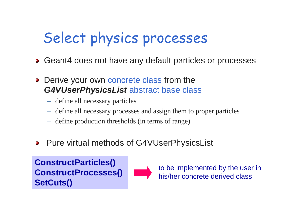# Select physics processes

- Geant4 does not have any default particles or processes
- Derive your own concrete class from the *G4VUserPhysicsList* abstract base class
	- define all necessary particles
	- –define all necessary processes and assign them to proper particles
	- define production thresholds (in terms of range)
- Pure virtual methods of G4VUserPhysicsList O)

**ConstructParticles() ConstructProcesses() SetCuts()**



to be implemented by the user in his/her concrete derived class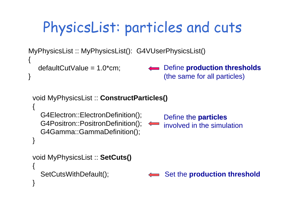# PhysicsList: particles and cuts

MyPhysicsList :: MyPhysicsList(): G4VUserPhysicsList()

```
defaultCutValue = 1.0*cm;
```
{

}

Define **production thresholds production thresholds** (the same for all particles)

```
void MyPhysicsList :: ConstructParticles()
{
  G4Electron::ElectronDefinition();
  G4Positron::PositronDefinition();
  G4Gamma::GammaDefinition();
}
                                            Define the particles particles
                                           involved in the simulationvoid MyPhysicsList :: SetCuts()
{
  SetCutsWithDefault(); 
}
                                            Set the production threshold
```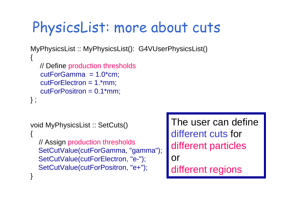## PhysicsList: more about cuts

```
MyPhysicsList :: MyPhysicsList(): G4VUserPhysicsList()
```

```
// Define production thresholds
   cutForGamma = 1.0<sup>*</sup>cm;
   cutForElectron = 1.*mm;
   cutForPositron = 0.1*mm;
} ;
```
 $\{$ 

```
void MyPhysicsList :: SetCuts()
\{// Assign production thresholds
  SetCutValue(cutForGamma, "gamma");
  SetCutValue(cutForElectron, "e-");
  SetCutValue(cutForPositron, "e+");
}
```
The user can define different cuts for different particles or different regions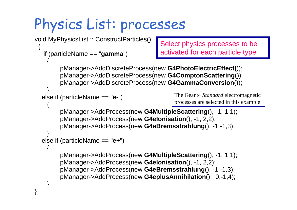# Physics List: processes

}

```
void MyPhysicsList :: ConstructParticles()
 {
  if (particleName == "gamma") 
    {<br>}
        pManager->AddDiscreteProcess(new G4PhotoElectricEffect());
        pManager->AddDiscreteProcess(new G4ComptonScattering());
        pManager->AddDiscreteProcess(new G4GammaConversion());
    } 
  else if (particleName == "e-") 
    {
        pManager->AddProcess(new G4MultipleScattering(), -1, 1,1);
        pManager->AddProcess(new G4eIonisation(), -1, 2,2);
        pManager->AddProcess(new G4eBremsstrahlung(), -1,-1,3); 
    }
  else if (particleName == "e+") 
    {
        pManager->AddProcess(new G4MultipleScattering(), -1, 1,1);
        pManager->AddProcess(new G4eIonisation(), -1, 2,2);
        pManager->AddProcess(new G4eBremsstrahlung(), -1,-1,3);
        pManager->AddProcess(new G4eplusAnnihilation(), 0,-1,4); 
    } 
                                           Select physics processes to be 
                                           activated for each particle type
                                               The Geant4 Standard electromagnetic 
                                               processes are selected in this example
```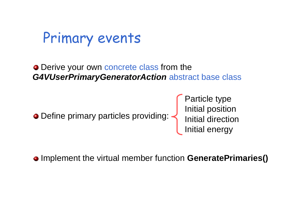Primary events

• Derive your own concrete class from the *G4VUserPrimaryGeneratorAction* abstract base class

Define primary particles providing:

Particle type Initial position Initial direction Initial energy

Implement the virtual member function **GeneratePrimaries()**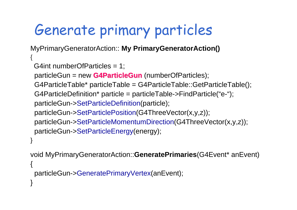# Generate primary particles

}

}

MyPrimaryGeneratorAction:: **My PrimaryGeneratorAction()**  $\{$ G4int numberOfParticles = 1; particleGun = new **G4ParticleGun** (numberOfParticles); G4ParticleTable\* particleTable = G4ParticleTable::GetParticleTable(); G4ParticleDefinition\* particle = particleTable->FindParticle("e-"); particleGun->SetParticleDefinition(particle); particleGun->SetParticlePosition(G4ThreeVector(x,y,z)); particleGun->SetParticleMomentumDirection(G4ThreeVector(x,y,z)); particleGun->SetParticleEnergy(energy);

void MyPrimaryGeneratorAction::**GeneratePrimaries**(G4Event\* anEvent) {<br>} particleGun->GeneratePrimaryVertex(anEvent);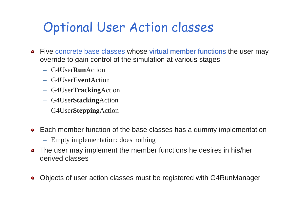### Optional User Action classes

- Five concrete base classes whose virtual member functions the user may  $\mathbf{u}$ override to gain control of the simulation at various stages
	- G4User**Run**Action
	- G4User**Event**Action
	- G4User**Tracking**Action
	- G4User**Stacking**Action
	- G4User**Stepping**Action
- Each member function of the base classes has a dummy implementation
	- Empty implementation: does nothing
- The user may implement the member functions he desires in his/her  $\blacksquare$ derived classes
- Objects of user action classes must be registered with G4RunManager۰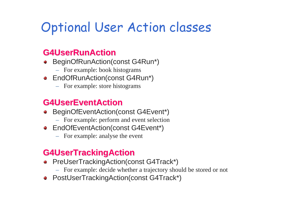## Optional User Action classes

#### **G4UserRunAction G4UserRunAction**

- BeginOfRunAction(const G4Run\*)  $\bullet$ 
	- For example: book histograms
- EndOfRunAction(const G4Run\*)
	- For example: store histograms

### **G4UserEventAction G4UserEventAction**

- BeginOfEventAction(const G4Event\*)  $\blacksquare$ 
	- For example: perform and event selection
- EndOfEventAction(const G4Event\*)
	- For example: analyse the event

### **G4UserTrackingAction G4UserTrackingAction**

- PreUserTrackingAction(const G4Track\*)  $\bullet$ 
	- For example: decide whether a trajectory should be stored or not
- PostUserTrackingAction(const G4Track\*)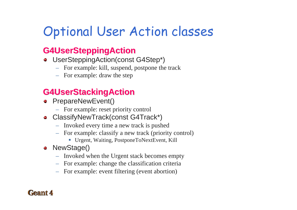## Optional User Action classes

### **G4UserSteppingAction G4UserSteppingAction**

- UserSteppingAction(const G4Step\*)
	- For example: kill, suspend, postpone the track
	- For example: draw the step

### **G4UserStackingAction G4UserStackingAction**

- **•** PrepareNewEvent()
	- For example: reset priority control
- ClassifyNewTrack(const G4Track\*)
	- Invoked every time a new track is pushed
	- For example: classify a new track (priority control)
		- Urgent, Waiting, PostponeToNextEvent, Kill
- NewStage()
	- Invoked when the Urgent stack becomes empty
	- For example: change the classification criteria
	- For example: event filtering (event abortion)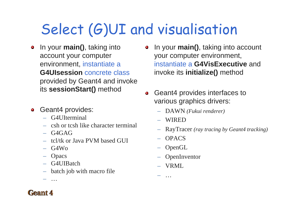# Select (G)UI and visualisation

In your **main()**, taking into  $\mathbf{u}$ account your computer environment, instantiate a **G4UIsession** concrete classprovided by Geant4 and invoke its **sessionStart()** method

#### Geant4 provides:  $\blacksquare$

- G4UIterminal
- csh or tcsh like character terminal
- G4GAG
- tcl/tk or Java PVM based GUI
- G4Wo
- Opacs

…

- G4UIBatch
- $-$  batch job with macro file
- In your **main()**, taking into account  $\mathbf{u}$ your computer environment, instantiate a **G4VisExecutive** and invoke its **initialize()** method
- Geant4 provides interfaces to  $\mathbf{m}_{\mathrm{c}}$ various graphics drivers:
	- DAWN *(Fukui renderer)*
	- –WIRED
	- RayTracer *(ray tracing by Geant4 tracking)*
	- OPACS
	- OpenGL
	- –**OpenInventor**
	- VRML

…

–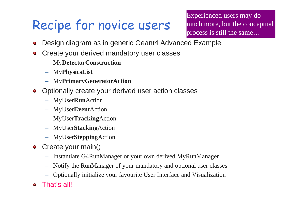### Recipe for novice users

Experienced users may do much more, but the conceptual process is still the same…

- Design diagram as in generic Geant4 Advanced Example  $\bullet$
- Create your derived mandatory user classes  $\bullet$ 
	- My**DetectorConstruction**
	- My**PhysicsList**
	- My**PrimaryGeneratorAction**
- Optionally create your derived user action classes  $\blacksquare$ 
	- MyUser**Run**Action
	- MyUser**Event**Action
	- MyUser**Tracking**Action
	- MyUser**Stacking**Action
	- MyUser**Stepping**Action
- Create your main()  $\mathbf{u}$ 
	- Instantiate G4RunManager or your own derived MyRunManager
	- Notify the RunManager of your mandatory and optional user classes
	- Optionally initialize your favourite User Interface and Visualization
- That's all!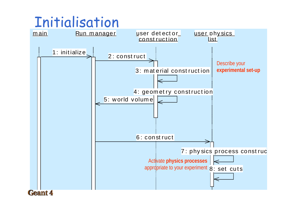## Initialisation

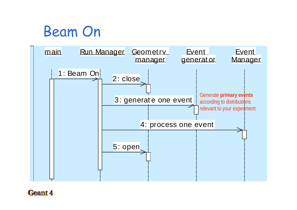## Beam On

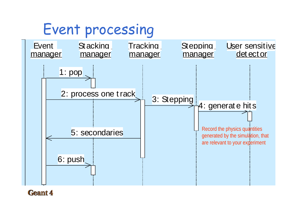## Event processing

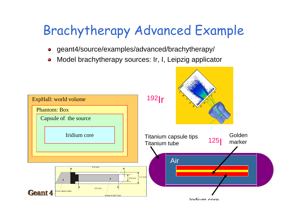## Brachytherapy Advanced Example

- geant4/source/examples/advanced/brachytherapy/  $\bullet$
- Model brachytherapy sources: Ir, I, Leipzig applicator  $\bullet$

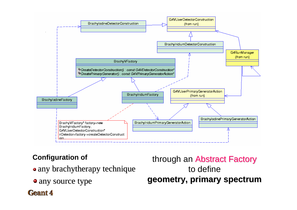

#### **Configuration of**

- any brachytherapy technique
- any source type

Geant 4

### through an Abstract Factory to define **geometry, primary spectrum geometry, primary spectrum**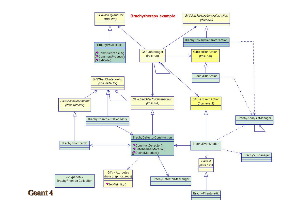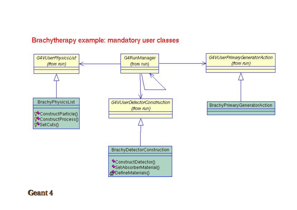#### Brachytherapy example: mandatory user classes

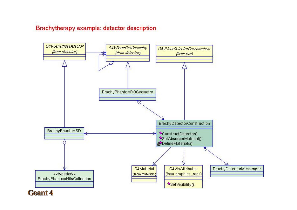#### Brachytherapy example: detector description

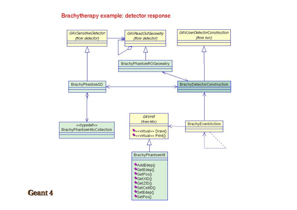#### Brachytherapy example: detector response

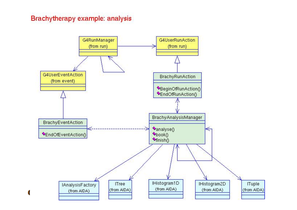#### Brachytherapy example: analysis